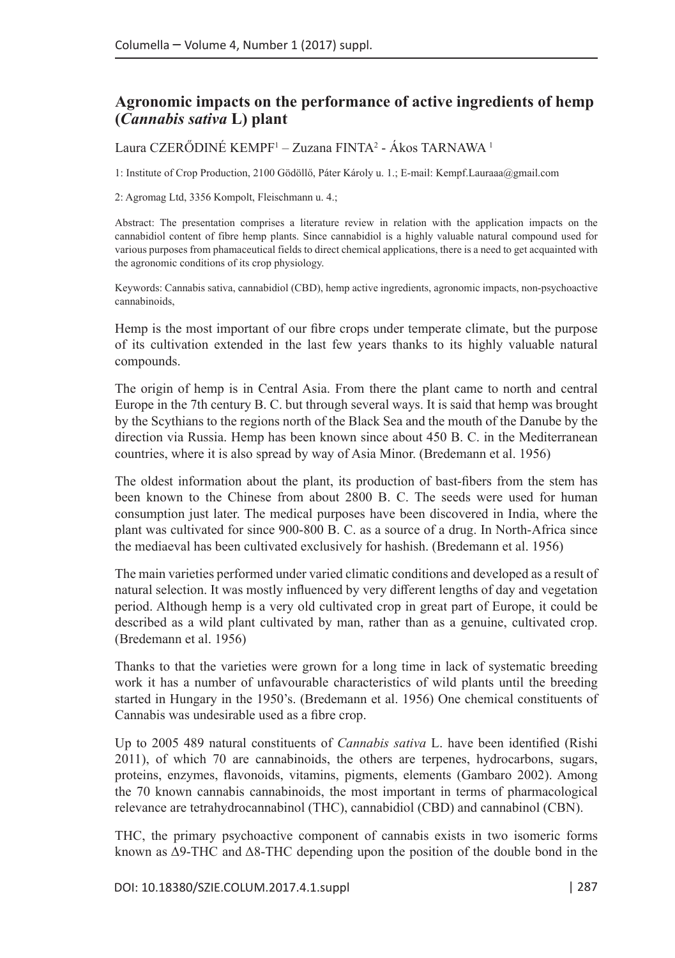## **Agronomic impacts on the performance of active ingredients of hemp (***Cannabis sativa* **L) plant**

Laura CZERÓDINÉ KEMPF<sup>1</sup> – Zuzana FINTA<sup>2</sup> - Ákos TARNAWA <sup>1</sup>

1: Institute of Crop Production, 2100 Gödöllő, Páter Károly u. 1.; E-mail[: Kempf.Lauraaa@gmail.c](mailto: Kempf.Lauraaa@gmail.)om

2: Agromag Ltd, 3356 Kompolt, Fleischmann u. 4.;

Abstract: The presentation comprises a literature review in relation with the application impacts on the cannabidiol content of fibre hemp plants. Since cannabidiol is a highly valuable natural compound used for various purposes from phamaceutical fields to direct chemical applications, there is a need to get acquainted with the agronomic conditions of its crop physiology.

Keywords: Cannabis sativa, cannabidiol (CBD), hemp active ingredients, agronomic impacts, non-psychoactive cannabinoids,

Hemp is the most important of our fibre crops under temperate climate, but the purpose of its cultivation extended in the last few years thanks to its highly valuable natural compounds.

The origin of hemp is in Central Asia. From there the plant came to north and central Europe in the 7th century B. C. but through several ways. It is said that hemp was brought by the Scythians to the regions north of the Black Sea and the mouth of the Danube by the direction via Russia. Hemp has been known since about 450 B. C. in the Mediterranean countries, where it is also spread by way of Asia Minor. (Bredemann et al. 1956)

The oldest information about the plant, its production of bast-fibers from the stem has been known to the Chinese from about 2800 B. C. The seeds were used for human consumption just later. The medical purposes have been discovered in India, where the plant was cultivated for since 900-800 B. C. as a source of a drug. In North-Africa since the mediaeval has been cultivated exclusively for hashish. (Bredemann et al. 1956)

The main varieties performed under varied climatic conditions and developed as a result of natural selection. It was mostly influenced by very different lengths of day and vegetation period. Although hemp is a very old cultivated crop in great part of Europe, it could be described as a wild plant cultivated by man, rather than as a genuine, cultivated crop. (Bredemann et al. 1956)

Thanks to that the varieties were grown for a long time in lack of systematic breeding work it has a number of unfavourable characteristics of wild plants until the breeding started in Hungary in the 1950's. (Bredemann et al. 1956) One chemical constituents of Cannabis was undesirable used as a fibre crop.

Up to 2005 489 natural constituents of *Cannabis sativa* L. have been identified (Rishi 2011), of which 70 are cannabinoids, the others are terpenes, hydrocarbons, sugars, proteins, enzymes, flavonoids, vitamins, pigments, elements (Gambaro 2002). Among the 70 known cannabis cannabinoids, the most important in terms of pharmacological relevance are tetrahydrocannabinol (THC), cannabidiol (CBD) and cannabinol (CBN).

THC, the primary psychoactive component of cannabis exists in two isomeric forms known as Δ9-THC and Δ8-THC depending upon the position of the double bond in the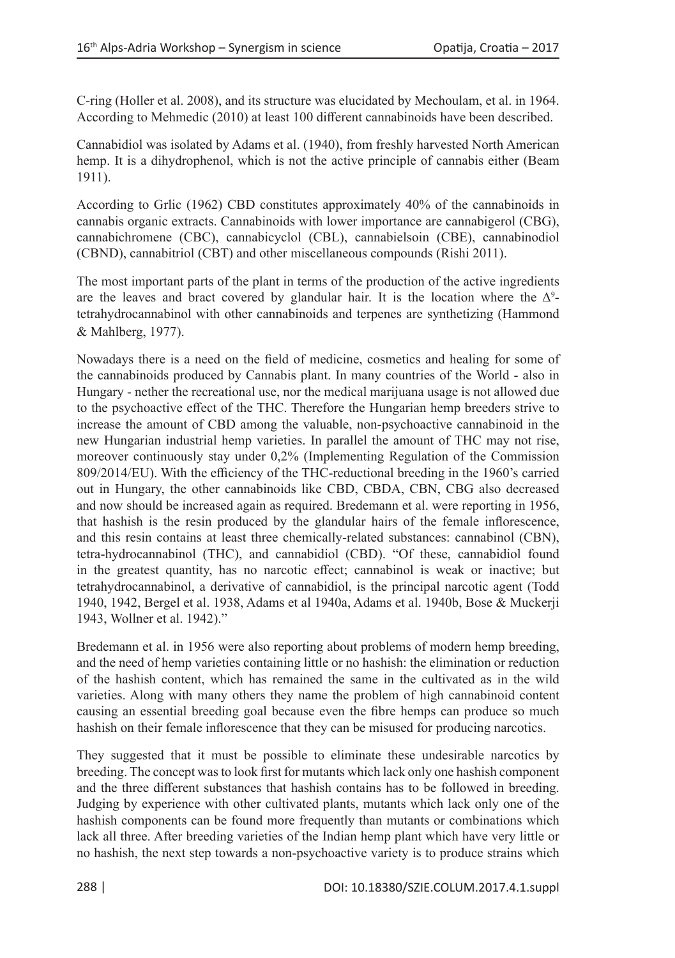C-ring (Holler et al. 2008), and its structure was elucidated by Mechoulam, et al. in 1964. According to Mehmedic (2010) at least 100 different cannabinoids have been described.

Cannabidiol was isolated by Adams et al. (1940), from freshly harvested North American hemp. It is a dihydrophenol, which is not the active principle of cannabis either (Beam 1911).

According to Grlic (1962) CBD constitutes approximately 40% of the cannabinoids in cannabis organic extracts. Cannabinoids with lower importance are cannabigerol (CBG), cannabichromene (CBC), cannabicyclol (CBL), cannabielsoin (CBE), cannabinodiol (CBND), cannabitriol (CBT) and other miscellaneous compounds (Rishi 2011).

The most important parts of the plant in terms of the production of the active ingredients are the leaves and bract covered by glandular hair. It is the location where the  $\Delta^9$ tetrahydrocannabinol with other cannabinoids and terpenes are synthetizing (Hammond & Mahlberg, 1977).

Nowadays there is a need on the field of medicine, cosmetics and healing for some of the cannabinoids produced by Cannabis plant. In many countries of the World - also in Hungary - nether the recreational use, nor the medical marijuana usage is not allowed due to the psychoactive effect of the THC. Therefore the Hungarian hemp breeders strive to increase the amount of CBD among the valuable, non-psychoactive cannabinoid in the new Hungarian industrial hemp varieties. In parallel the amount of THC may not rise, moreover continuously stay under 0,2% (Implementing Regulation of the Commission 809/2014/EU). With the efficiency of the THC‑reductional breeding in the 1960's carried out in Hungary, the other cannabinoids like CBD, CBDA, CBN, CBG also decreased and now should be increased again as required. Bredemann et al. were reporting in 1956, that hashish is the resin produced by the glandular hairs of the female inflorescence, and this resin contains at least three chemically-related substances: cannabinol (CBN), tetra-hydrocannabinol (THC), and cannabidiol (CBD). "Of these, cannabidiol found in the greatest quantity, has no narcotic effect; cannabinol is weak or inactive; but tetrahydrocannabinol, a derivative of cannabidiol, is the principal narcotic agent (Todd 1940, 1942, Bergel et al. 1938, Adams et al 1940a, Adams et al. 1940b, Bose & Muckerji 1943, Wollner et al. 1942)."

Bredemann et al. in 1956 were also reporting about problems of modern hemp breeding, and the need of hemp varieties containing little or no hashish: the elimination or reduction of the hashish content, which has remained the same in the cultivated as in the wild varieties. Along with many others they name the problem of high cannabinoid content causing an essential breeding goal because even the fibre hemps can produce so much hashish on their female inflorescence that they can be misused for producing narcotics.

They suggested that it must be possible to eliminate these undesirable narcotics by breeding. The concept was to look first for mutants which lack only one hashish component and the three different substances that hashish contains has to be followed in breeding. Judging by experience with other cultivated plants, mutants which lack only one of the hashish components can be found more frequently than mutants or combinations which lack all three. After breeding varieties of the Indian hemp plant which have very little or no hashish, the next step towards a non-psychoactive variety is to produce strains which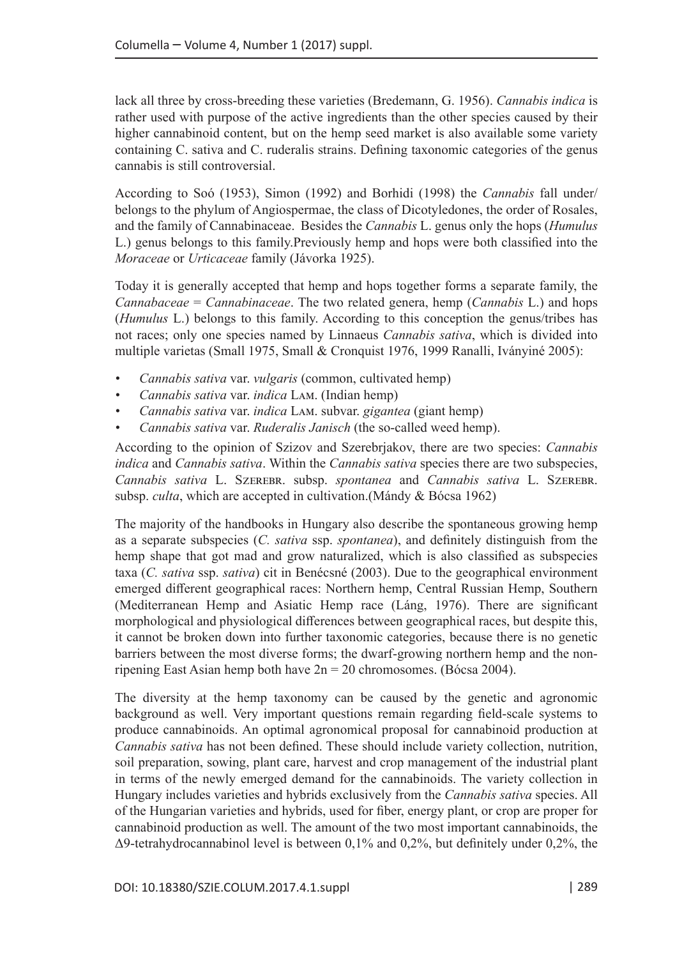lack all three by cross-breeding these varieties (Bredemann, G. 1956). *Cannabis indica* is rather used with purpose of the active ingredients than the other species caused by their higher cannabinoid content, but on the hemp seed market is also available some variety containing C. sativa and C. ruderalis strains. Defining taxonomic categories of the genus cannabis is still controversial.

According to Soó (1953), Simon (1992) and Borhidi (1998) the *Cannabis* fall under/ belongs to the phylum of Angiospermae, the class of Dicotyledones, the order of Rosales, and the family of Cannabinaceae. Besides the *Cannabis* L. genus only the hops (*Humulus* L.) genus belongs to this family.Previously hemp and hops were both classified into the *Moraceae* or *Urticaceae* family (Jávorka 1925).

Today it is generally accepted that hemp and hops together forms a separate family, the *Cannabaceae* = *Cannabinaceae*. The two related genera, hemp (*Cannabis* L.) and hops (*Humulus* L.) belongs to this family. According to this conception the genus/tribes has not races; only one species named by Linnaeus *Cannabis sativa*, which is divided into multiple varietas (Small 1975, Small & Cronquist 1976, 1999 Ranalli, Iványiné 2005):

- *• Cannabis sativa* var. *vulgaris* (common, cultivated hemp)
- *• Cannabis sativa* var. *indica* Lam. (Indian hemp)
- *• Cannabis sativa* var. *indica* Lam. subvar. *gigantea* (giant hemp)
- *• Cannabis sativa* var. *Ruderalis Janisch* (the so-called weed hemp).

According to the opinion of Szizov and Szerebrjakov, there are two species: *Cannabis indica* and *Cannabis sativa*. Within the *Cannabis sativa* species there are two subspecies, *Cannabis sativa* L. Szerebr. subsp. *spontanea* and *Cannabis sativa* L. Szerebr. subsp. *culta*, which are accepted in cultivation.(Mándy & Bócsa 1962)

The majority of the handbooks in Hungary also describe the spontaneous growing hemp as a separate subspecies (*C. sativa* ssp. *spontanea*), and definitely distinguish from the hemp shape that got mad and grow naturalized, which is also classified as subspecies taxa (*C. sativa* ssp. *sativa*) cit in Benécsné (2003). Due to the geographical environment emerged different geographical races: Northern hemp, Central Russian Hemp, Southern (Mediterranean Hemp and Asiatic Hemp race (Láng, 1976). There are significant morphological and physiological differences between geographical races, but despite this, it cannot be broken down into further taxonomic categories, because there is no genetic barriers between the most diverse forms; the dwarf-growing northern hemp and the nonripening East Asian hemp both have 2n = 20 chromosomes. (Bócsa 2004).

The diversity at the hemp taxonomy can be caused by the genetic and agronomic background as well. Very important questions remain regarding field-scale systems to produce cannabinoids. An optimal agronomical proposal for cannabinoid production at *Cannabis sativa* has not been defined. These should include variety collection, nutrition, soil preparation, sowing, plant care, harvest and crop management of the industrial plant in terms of the newly emerged demand for the cannabinoids. The variety collection in Hungary includes varieties and hybrids exclusively from the *Cannabis sativa* species. All of the Hungarian varieties and hybrids, used for fiber, energy plant, or crop are proper for cannabinoid production as well. The amount of the two most important cannabinoids, the [Δ9-tetrahydrocannabinol l](http://jat.oxfordjournals.org/content/24/7/562)evel is between 0,1% and 0,2%, but definitely under 0,2%, the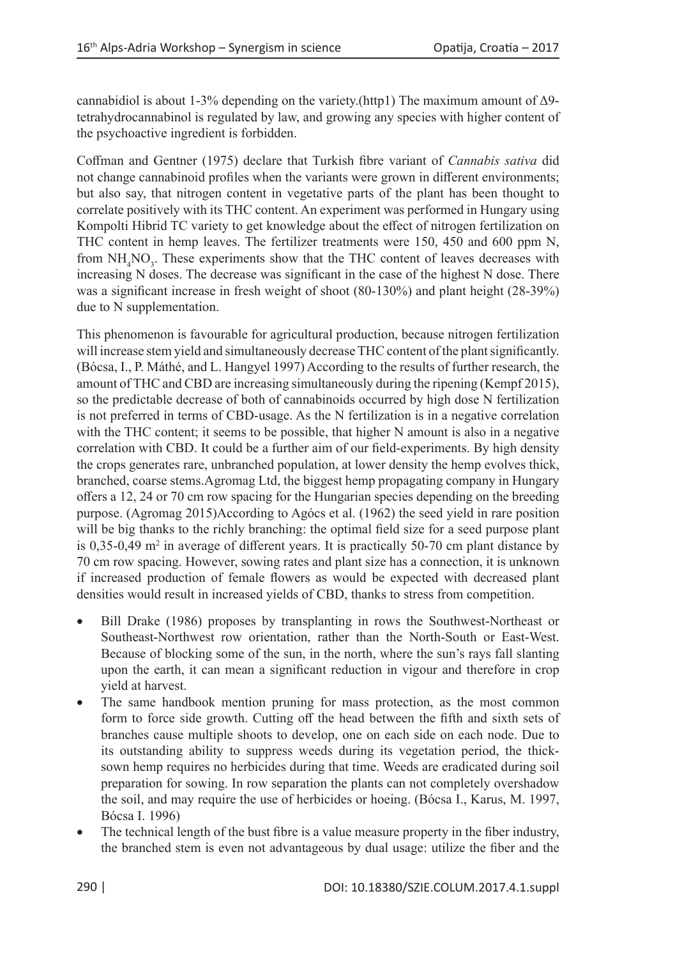cannabidiol is about 1-3% depending on the variety.(http1) The maximum amount of  $\Delta$ 9[tetrahydrocannabinol](http://jat.oxfordjournals.org/content/24/7/562) is regulated by law, and growing any species with higher content of the psychoactive ingredient is forbidden.

Coffman and Gentner (1975) declare that Turkish fibre variant of *Cannabis sativa* did not change cannabinoid profiles when the variants were grown in different environments; but also say, that nitrogen content in vegetative parts of the plant has been thought to correlate positively with its THC content. An experiment was performed in Hungary using Kompolti Hibrid TC variety to get knowledge about the effect of nitrogen fertilization on THC content in hemp leaves. The fertilizer treatments were 150, 450 and 600 ppm N, from  $NH<sub>4</sub>NO<sub>3</sub>$ . These experiments show that the THC content of leaves decreases with increasing N doses. The decrease was significant in the case of the highest N dose. There was a significant increase in fresh weight of shoot (80-130%) and plant height (28-39%) due to N supplementation.

This phenomenon is favourable for agricultural production, because nitrogen fertilization will increase stem yield and simultaneously decrease THC content of the plant significantly. (Bócsa, I., P. Máthé, and L. Hangyel 1997) According to the results of further research, the amount of THC and CBD are increasing simultaneously during the ripening (Kempf 2015), so the predictable decrease of both of cannabinoids occurred by high dose N fertilization is not preferred in terms of CBD-usage. As the N fertilization is in a negative correlation with the THC content; it seems to be possible, that higher N amount is also in a negative correlation with CBD. It could be a further aim of our field-experiments. By high density the crops generates rare, unbranched population, at lower density the hemp evolves thick, branched, coarse stems.Agromag Ltd, the biggest hemp propagating company in Hungary offers a 12, 24 or 70 cm row spacing for the Hungarian species depending on the breeding purpose. (Agromag 2015)According to Agócs et al. (1962) the seed yield in rare position will be big thanks to the richly branching: the optimal field size for a seed purpose plant is  $0,35$ -0,49 m<sup>2</sup> in average of different years. It is practically 50-70 cm plant distance by 70 cm row spacing. However, sowing rates and plant size has a connection, it is unknown if increased production of female flowers as would be expected with decreased plant densities would result in increased yields of CBD, thanks to stress from competition.

- Bill Drake (1986) proposes by transplanting in rows the Southwest-Northeast or Southeast-Northwest row orientation, rather than the North-South or East-West. Because of blocking some of the sun, in the north, where the sun's rays fall slanting upon the earth, it can mean a significant reduction in vigour and therefore in crop yield at harvest.
- The same handbook mention pruning for mass protection, as the most common form to force side growth. Cutting off the head between the fifth and sixth sets of branches cause multiple shoots to develop, one on each side on each node. Due to its outstanding ability to suppress weeds during its vegetation period, the thicksown hemp requires no herbicides during that time. Weeds are eradicated during soil preparation for sowing. In row separation the plants can not completely overshadow the soil, and may require the use of herbicides or hoeing. (Bócsa I., Karus, M. 1997, Bócsa I. 1996)
- The technical length of the bust fibre is a value measure property in the fiber industry, the branched stem is even not advantageous by dual usage: utilize the fiber and the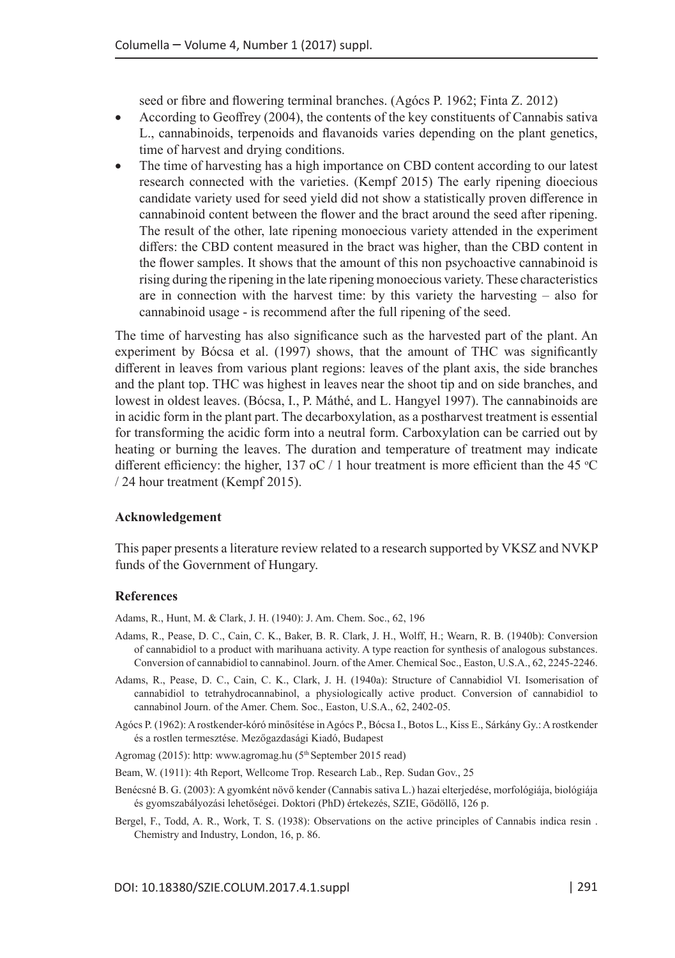seed or fibre and flowering terminal branches. (Agócs P. 1962; Finta Z. 2012)

- According to Geoffrey (2004), the contents of the key constituents of Cannabis sativa L., cannabinoids, terpenoids and flavanoids varies depending on the plant genetics, time of harvest and drying conditions.
- The time of harvesting has a high importance on CBD content according to our latest research connected with the varieties. (Kempf 2015) The early ripening dioecious candidate variety used for seed yield did not show a statistically proven difference in cannabinoid content between the flower and the bract around the seed after ripening. The result of the other, late ripening monoecious variety attended in the experiment differs: the CBD content measured in the bract was higher, than the CBD content in the flower samples. It shows that the amount of this non psychoactive cannabinoid is rising during the ripening in the late ripening monoecious variety. These characteristics are in connection with the harvest time: by this variety the harvesting – also for cannabinoid usage - is recommend after the full ripening of the seed.

The time of harvesting has also significance such as the harvested part of the plant. An experiment by Bócsa et al. (1997) shows, that the amount of THC was significantly different in leaves from various plant regions: leaves of the plant axis, the side branches and the plant top. THC was highest in leaves near the shoot tip and on side branches, and lowest in oldest leaves. (Bócsa, I., P. Máthé, and L. Hangyel 1997). The cannabinoids are in acidic form in the plant part. The decarboxylation, as a postharvest treatment is essential for transforming the acidic form into a neutral form. Carboxylation can be carried out by heating or burning the leaves. The duration and temperature of treatment may indicate different efficiency: the higher, 137 oC  $/1$  hour treatment is more efficient than the 45 °C / 24 hour treatment (Kempf 2015).

## **Acknowledgement**

This paper presents a literature review related to a research supported by VKSZ and NVKP funds of the Government of Hungary.

## **References**

Adams, R., Hunt, M. & Clark, J. H. (1940): J. Am. Chem. Soc., 62, 196

- Adams, R., Pease, D. C., Cain, C. K., Baker, B. R. Clark, J. H., Wolff, H.; Wearn, R. B. (1940b): Conversion of cannabidiol to a product with marihuana activity. A type reaction for synthesis of analogous substances. Conversion of cannabidiol to cannabinol. Journ. of the Amer. Chemical Soc., Easton, U.S.A., 62, 2245-2246.
- Adams, R., Pease, D. C., Cain, C. K., Clark, J. H. (1940a): Structure of Cannabidiol VI. Isomerisation of cannabidiol to tetrahydrocannabinol, a physiologically active product. Conversion of cannabidiol to cannabinol Journ. of the Amer. Chem. Soc., Easton, U.S.A., 62, 2402-05.
- Agócs P. (1962): A rostkender-kóró minősítése in Agócs P., Bócsa I., Botos L., Kiss E., Sárkány Gy.: A rostkender és a rostlen termesztése. Mezőgazdasági Kiadó, Budapest
- Agromag (2015): http: [www.agromag.hu](http://www.agromag.hu) (5<sup>th</sup> September 2015 read)
- Beam, W. (1911): 4th Report, Wellcome Trop. Research Lab., Rep. Sudan Gov., 25
- Benécsné B. G. (2003): A gyomként növő kender (Cannabis sativa L.) hazai elterjedése, morfológiája, biológiája és gyomszabályozási lehetőségei. Doktori (PhD) értekezés, SZIE, Gödöllő, 126 p.
- Bergel, F., Todd, A. R., Work, T. S. (1938): Observations on the active principles of Cannabis indica resin . Chemistry and Industry, London, 16, p. 86.